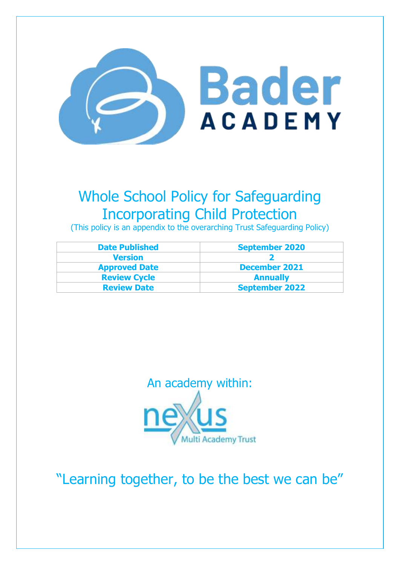

# Whole School Policy for Safeguarding Incorporating Child Protection

(This policy is an appendix to the overarching Trust Safeguarding Policy)

| <b>Date Published</b> | <b>September 2020</b> |
|-----------------------|-----------------------|
| <b>Version</b>        |                       |
| <b>Approved Date</b>  | <b>December 2021</b>  |
| <b>Review Cycle</b>   | <b>Annually</b>       |
| <b>Review Date</b>    | <b>September 2022</b> |



"Learning together, to be the best we can be"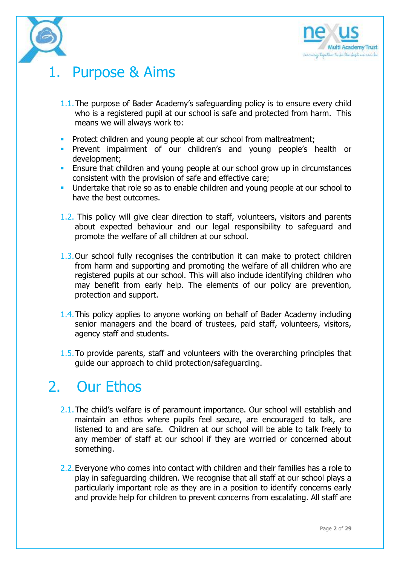

# Purpose & Aims

- 1.1.The purpose of Bader Academy's safeguarding policy is to ensure every child who is a registered pupil at our school is safe and protected from harm. This means we will always work to:
- **Protect children and young people at our school from maltreatment;**
- **Prevent impairment of our children's and young people's health or** development;
- **Ensure that children and young people at our school grow up in circumstances** consistent with the provision of safe and effective care;
- Undertake that role so as to enable children and young people at our school to have the best outcomes.
- 1.2. This policy will give clear direction to staff, volunteers, visitors and parents about expected behaviour and our legal responsibility to safeguard and promote the welfare of all children at our school.
- 1.3.Our school fully recognises the contribution it can make to protect children from harm and supporting and promoting the welfare of all children who are registered pupils at our school. This will also include identifying children who may benefit from early help. The elements of our policy are prevention, protection and support.
- 1.4.This policy applies to anyone working on behalf of Bader Academy including senior managers and the board of trustees, paid staff, volunteers, visitors, agency staff and students.
- 1.5.To provide parents, staff and volunteers with the overarching principles that guide our approach to child protection/safeguarding.

# 2. Our Ethos

- 2.1. The child's welfare is of paramount importance. Our school will establish and maintain an ethos where pupils feel secure, are encouraged to talk, are listened to and are safe. Children at our school will be able to talk freely to any member of staff at our school if they are worried or concerned about something.
- 2.2.Everyone who comes into contact with children and their families has a role to play in safeguarding children. We recognise that all staff at our school plays a particularly important role as they are in a position to identify concerns early and provide help for children to prevent concerns from escalating. All staff are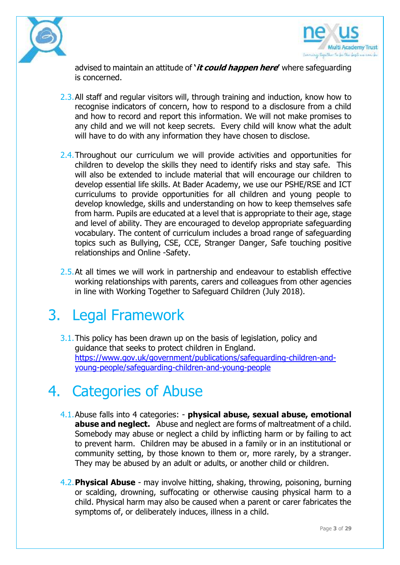



advised to maintain an attitude of **'it could happen here'** where safeguarding is concerned.

- 2.3.All staff and regular visitors will, through training and induction, know how to recognise indicators of concern, how to respond to a disclosure from a child and how to record and report this information. We will not make promises to any child and we will not keep secrets. Every child will know what the adult will have to do with any information they have chosen to disclose.
- 2.4. Throughout our curriculum we will provide activities and opportunities for children to develop the skills they need to identify risks and stay safe. This will also be extended to include material that will encourage our children to develop essential life skills. At Bader Academy, we use our PSHE/RSE and ICT curriculums to provide opportunities for all children and young people to develop knowledge, skills and understanding on how to keep themselves safe from harm. Pupils are educated at a level that is appropriate to their age, stage and level of ability. They are encouraged to develop appropriate safeguarding vocabulary. The content of curriculum includes a broad range of safeguarding topics such as Bullying, CSE, CCE, Stranger Danger, Safe touching positive relationships and Online -Safety.
- 2.5. At all times we will work in partnership and endeavour to establish effective working relationships with parents, carers and colleagues from other agencies in line with Working Together to Safeguard Children (July 2018).

## 3. Legal Framework

3.1. This policy has been drawn up on the basis of legislation, policy and guidance that seeks to protect children in England. [https://www.gov.uk/government/publications/safeguarding-children-and](https://www.gov.uk/government/publications/safeguarding-children-and-young-people/safeguarding-children-and-young-people)[young-people/safeguarding-children-and-young-people](https://www.gov.uk/government/publications/safeguarding-children-and-young-people/safeguarding-children-and-young-people)

# 4. Categories of Abuse

- 4.1.Abuse falls into 4 categories: **physical abuse, sexual abuse, emotional abuse and neglect.** Abuse and neglect are forms of maltreatment of a child. Somebody may abuse or neglect a child by inflicting harm or by failing to act to prevent harm. Children may be abused in a family or in an institutional or community setting, by those known to them or, more rarely, by a stranger. They may be abused by an adult or adults, or another child or children.
- 4.2.**Physical Abuse** may involve hitting, shaking, throwing, poisoning, burning or scalding, drowning, suffocating or otherwise causing physical harm to a child. Physical harm may also be caused when a parent or carer fabricates the symptoms of, or deliberately induces, illness in a child.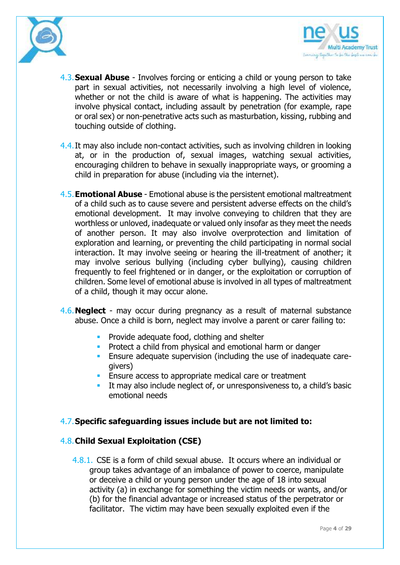



- 4.3.**Sexual Abuse** Involves forcing or enticing a child or young person to take part in sexual activities, not necessarily involving a high level of violence, whether or not the child is aware of what is happening. The activities may involve physical contact, including assault by penetration (for example, rape or oral sex) or non-penetrative acts such as masturbation, kissing, rubbing and touching outside of clothing.
- 4.4.It may also include non-contact activities, such as involving children in looking at, or in the production of, sexual images, watching sexual activities, encouraging children to behave in sexually inappropriate ways, or grooming a child in preparation for abuse (including via the internet).
- 4.5.**Emotional Abuse** Emotional abuse is the persistent emotional maltreatment of a child such as to cause severe and persistent adverse effects on the child's emotional development. It may involve conveying to children that they are worthless or unloved, inadequate or valued only insofar as they meet the needs of another person. It may also involve overprotection and limitation of exploration and learning, or preventing the child participating in normal social interaction. It may involve seeing or hearing the ill-treatment of another; it may involve serious bullying (including cyber bullying), causing children frequently to feel frightened or in danger, or the exploitation or corruption of children. Some level of emotional abuse is involved in all types of maltreatment of a child, though it may occur alone.
- 4.6.**Neglect**  may occur during pregnancy as a result of maternal substance abuse. Once a child is born, neglect may involve a parent or carer failing to:
	- **Provide adequate food, clothing and shelter**
	- **Protect a child from physical and emotional harm or danger**
	- **Ensure adequate supervision (including the use of inadequate care**givers)
	- **Ensure access to appropriate medical care or treatment**
	- It may also include neglect of, or unresponsiveness to, a child's basic emotional needs

#### 4.7.**Specific safeguarding issues include but are not limited to:**

#### 4.8.**Child Sexual Exploitation (CSE)**

4.8.1. CSE is a form of child sexual abuse. It occurs where an individual or group takes advantage of an imbalance of power to coerce, manipulate or deceive a child or young person under the age of 18 into sexual activity (a) in exchange for something the victim needs or wants, and/or (b) for the financial advantage or increased status of the perpetrator or facilitator. The victim may have been sexually exploited even if the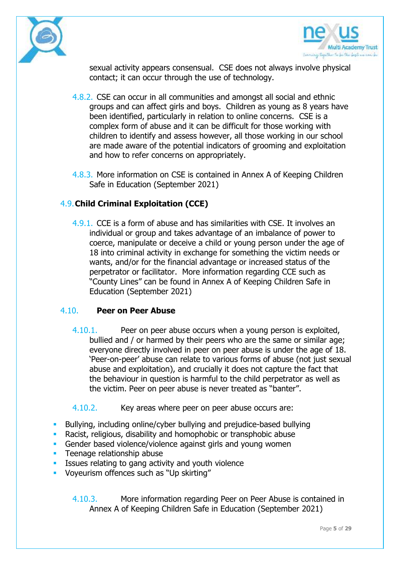



sexual activity appears consensual. CSE does not always involve physical contact; it can occur through the use of technology.

- 4.8.2. CSE can occur in all communities and amongst all social and ethnic groups and can affect girls and boys. Children as young as 8 years have been identified, particularly in relation to online concerns. CSE is a complex form of abuse and it can be difficult for those working with children to identify and assess however, all those working in our school are made aware of the potential indicators of grooming and exploitation and how to refer concerns on appropriately.
- 4.8.3. More information on CSE is contained in Annex A of Keeping Children Safe in Education (September 2021)

### 4.9.**Child Criminal Exploitation (CCE)**

4.9.1. CCE is a form of abuse and has similarities with CSE. It involves an individual or group and takes advantage of an imbalance of power to coerce, manipulate or deceive a child or young person under the age of 18 into criminal activity in exchange for something the victim needs or wants, and/or for the financial advantage or increased status of the perpetrator or facilitator. More information regarding CCE such as "County Lines" can be found in Annex A of Keeping Children Safe in Education (September 2021)

#### 4.10. **Peer on Peer Abuse**

- 4.10.1. Peer on peer abuse occurs when a young person is exploited, bullied and / or harmed by their peers who are the same or similar age; everyone directly involved in peer on peer abuse is under the age of 18. 'Peer-on-peer' abuse can relate to various forms of abuse (not just sexual abuse and exploitation), and crucially it does not capture the fact that the behaviour in question is harmful to the child perpetrator as well as the victim. Peer on peer abuse is never treated as "banter".
- 4.10.2. Key areas where peer on peer abuse occurs are:
- Bullying, including online/cyber bullying and prejudice-based bullying
- Racist, religious, disability and homophobic or transphobic abuse
- Gender based violence/violence against girls and young women
- Teenage relationship abuse
- Issues relating to gang activity and youth violence
- Voyeurism offences such as "Up skirting"

4.10.3. More information regarding Peer on Peer Abuse is contained in Annex A of Keeping Children Safe in Education (September 2021)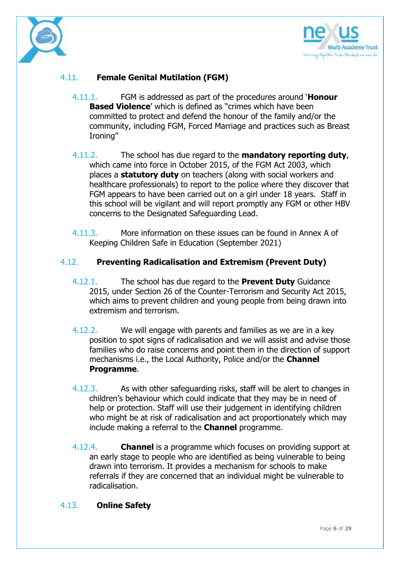



## 4.11. **Female Genital Mutilation (FGM)**

- 4.11.1. FGM is addressed as part of the procedures around '**Honour Based Violence**' which is defined as "crimes which have been committed to protect and defend the honour of the family and/or the community, including FGM, Forced Marriage and practices such as Breast Ironing"
- 4.11.2. The school has due regard to the **mandatory reporting duty**, which came into force in October 2015, of the FGM Act 2003, which places a **statutory duty** on teachers (along with social workers and healthcare professionals) to report to the police where they discover that FGM appears to have been carried out on a girl under 18 years. Staff in this school will be vigilant and will report promptly any FGM or other HBV concerns to the Designated Safeguarding Lead.
- 4.11.3. More information on these issues can be found in Annex A of Keeping Children Safe in Education (September 2021)

#### 4.12. **Preventing Radicalisation and Extremism (Prevent Duty)**

- 4.12.1. The school has due regard to the **Prevent Duty** Guidance 2015, under Section 26 of the Counter-Terrorism and Security Act 2015, which aims to prevent children and young people from being drawn into extremism and terrorism.
- 4.12.2. We will engage with parents and families as we are in a key position to spot signs of radicalisation and we will assist and advise those families who do raise concerns and point them in the direction of support mechanisms i.e., the Local Authority, Police and/or the **Channel Programme**.
- 4.12.3. As with other safeguarding risks, staff will be alert to changes in children's behaviour which could indicate that they may be in need of help or protection. Staff will use their judgement in identifying children who might be at risk of radicalisation and act proportionately which may include making a referral to the **Channel** programme.
- 4.12.4. **Channel** is a programme which focuses on providing support at an early stage to people who are identified as being vulnerable to being drawn into terrorism. It provides a mechanism for schools to make referrals if they are concerned that an individual might be vulnerable to radicalisation.

#### 4.13. **Online Safety**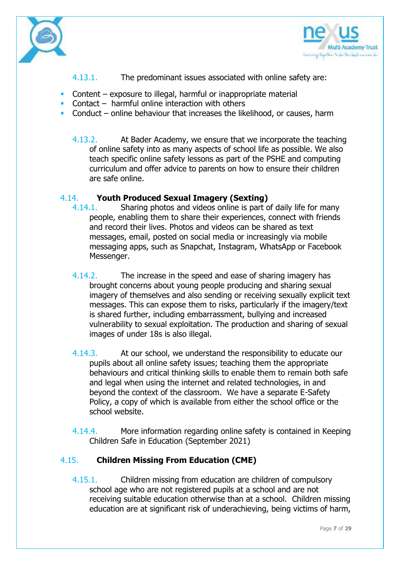



- 4.13.1. The predominant issues associated with online safety are:
- Content exposure to illegal, harmful or inappropriate material
- Contact harmful online interaction with others
- Conduct online behaviour that increases the likelihood, or causes, harm
	- 4.13.2. At Bader Academy, we ensure that we incorporate the teaching of online safety into as many aspects of school life as possible. We also teach specific online safety lessons as part of the PSHE and computing curriculum and offer advice to parents on how to ensure their children are safe online.

### 4.14. **Youth Produced Sexual Imagery (Sexting)**

- 4.14.1. Sharing photos and videos online is part of daily life for many people, enabling them to share their experiences, connect with friends and record their lives. Photos and videos can be shared as text messages, email, posted on social media or increasingly via mobile messaging apps, such as Snapchat, Instagram, WhatsApp or Facebook Messenger.
- 4.14.2. The increase in the speed and ease of sharing imagery has brought concerns about young people producing and sharing sexual imagery of themselves and also sending or receiving sexually explicit text messages. This can expose them to risks, particularly if the imagery/text is shared further, including embarrassment, bullying and increased vulnerability to sexual exploitation. The production and sharing of sexual images of under 18s is also illegal.
- 4.14.3. At our school, we understand the responsibility to educate our pupils about all online safety issues; teaching them the appropriate behaviours and critical thinking skills to enable them to remain both safe and legal when using the internet and related technologies, in and beyond the context of the classroom. We have a separate E-Safety Policy, a copy of which is available from either the school office or the school website.
- 4.14.4. More information regarding online safety is contained in Keeping Children Safe in Education (September 2021)

## 4.15. **Children Missing From Education (CME)**

4.15.1. Children missing from education are children of compulsory school age who are not registered pupils at a school and are not receiving suitable education otherwise than at a school. Children missing education are at significant risk of underachieving, being victims of harm,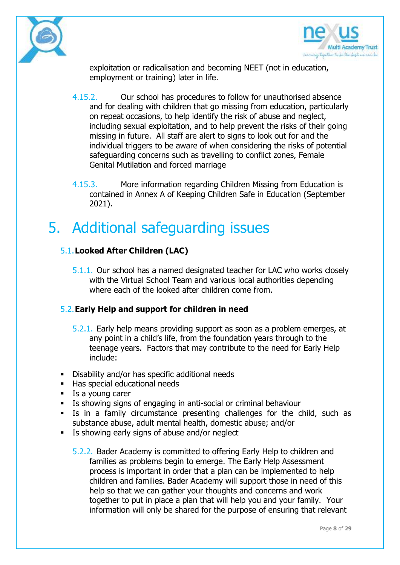



exploitation or radicalisation and becoming NEET (not in education, employment or training) later in life.

- 4.15.2. Our school has procedures to follow for unauthorised absence and for dealing with children that go missing from education, particularly on repeat occasions, to help identify the risk of abuse and neglect, including sexual exploitation, and to help prevent the risks of their going missing in future. All staff are alert to signs to look out for and the individual triggers to be aware of when considering the risks of potential safeguarding concerns such as travelling to conflict zones, Female Genital Mutilation and forced marriage
- 4.15.3. More information regarding Children Missing from Education is contained in Annex A of Keeping Children Safe in Education (September 2021).

# 5. Additional safeguarding issues

## 5.1.**Looked After Children (LAC)**

5.1.1. Our school has a named designated teacher for LAC who works closely with the Virtual School Team and various local authorities depending where each of the looked after children come from.

#### 5.2.**Early Help and support for children in need**

- 5.2.1. Early help means providing support as soon as a problem emerges, at any point in a child's life, from the foundation years through to the teenage years. Factors that may contribute to the need for Early Help include:
- **•** Disability and/or has specific additional needs
- Has special educational needs
- **Is a young carer**
- Is showing signs of engaging in anti-social or criminal behaviour
- Is in a family circumstance presenting challenges for the child, such as substance abuse, adult mental health, domestic abuse; and/or
- Is showing early signs of abuse and/or neglect
	- 5.2.2. Bader Academy is committed to offering Early Help to children and families as problems begin to emerge. The Early Help Assessment process is important in order that a plan can be implemented to help children and families. Bader Academy will support those in need of this help so that we can gather your thoughts and concerns and work together to put in place a plan that will help you and your family. Your information will only be shared for the purpose of ensuring that relevant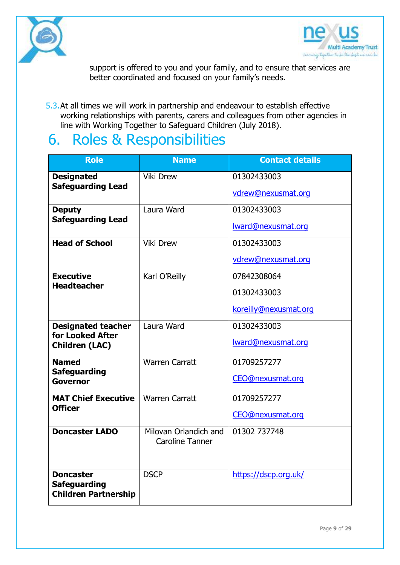



support is offered to you and your family, and to ensure that services are better coordinated and focused on your family's needs.

5.3.At all times we will work in partnership and endeavour to establish effective working relationships with parents, carers and colleagues from other agencies in line with Working Together to Safeguard Children (July 2018).

# 6. Roles & Responsibilities

| <b>Role</b>                                                            | <b>Name</b>                                     | <b>Contact details</b>                              |
|------------------------------------------------------------------------|-------------------------------------------------|-----------------------------------------------------|
| <b>Designated</b><br><b>Safeguarding Lead</b>                          | <b>Viki Drew</b>                                | 01302433003<br>vdrew@nexusmat.org                   |
| <b>Deputy</b><br><b>Safeguarding Lead</b>                              | Laura Ward                                      | 01302433003<br>lward@nexusmat.org                   |
| <b>Head of School</b>                                                  | <b>Viki Drew</b>                                | 01302433003<br>vdrew@nexusmat.org                   |
| <b>Executive</b><br><b>Headteacher</b>                                 | Karl O'Reilly                                   | 07842308064<br>01302433003<br>koreilly@nexusmat.org |
| <b>Designated teacher</b><br>for Looked After<br><b>Children (LAC)</b> | Laura Ward                                      | 01302433003<br>Iward@nexusmat.org                   |
| <b>Named</b><br><b>Safeguarding</b><br>Governor                        | <b>Warren Carratt</b>                           | 01709257277<br>CEO@nexusmat.org                     |
| <b>MAT Chief Executive</b><br><b>Officer</b>                           | <b>Warren Carratt</b>                           | 01709257277<br><b>CEO@nexusmat.org</b>              |
| <b>Doncaster LADO</b>                                                  | Milovan Orlandich and<br><b>Caroline Tanner</b> | 01302 737748                                        |
| <b>Doncaster</b><br><b>Safeguarding</b><br><b>Children Partnership</b> | <b>DSCP</b>                                     | https://dscp.org.uk/                                |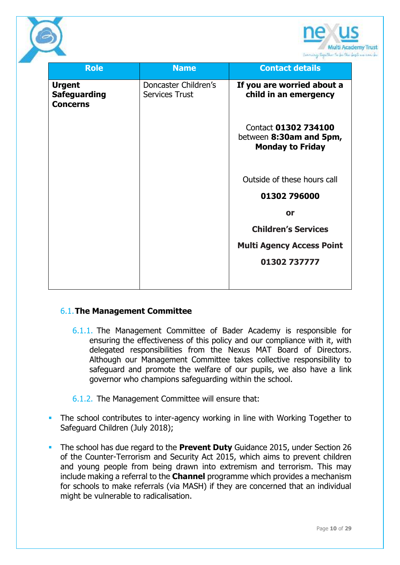

| <b>Role</b>         | <b>Name</b>           | <b>Contact details</b>           |
|---------------------|-----------------------|----------------------------------|
|                     |                       |                                  |
| <b>Urgent</b>       | Doncaster Children's  | If you are worried about a       |
| <b>Safeguarding</b> | <b>Services Trust</b> | child in an emergency            |
| <b>Concerns</b>     |                       |                                  |
|                     |                       |                                  |
|                     |                       | Contact 01302 734100             |
|                     |                       | between 8:30am and 5pm,          |
|                     |                       | <b>Monday to Friday</b>          |
|                     |                       |                                  |
|                     |                       | Outside of these hours call      |
|                     |                       |                                  |
|                     |                       | 01302 796000                     |
|                     |                       | or                               |
|                     |                       | <b>Children's Services</b>       |
|                     |                       |                                  |
|                     |                       | <b>Multi Agency Access Point</b> |
|                     |                       | 01302 737777                     |
|                     |                       |                                  |
|                     |                       |                                  |

#### 6.1.**The Management Committee**

- 6.1.1. The Management Committee of Bader Academy is responsible for ensuring the effectiveness of this policy and our compliance with it, with delegated responsibilities from the Nexus MAT Board of Directors. Although our Management Committee takes collective responsibility to safeguard and promote the welfare of our pupils, we also have a link governor who champions safeguarding within the school.
- 6.1.2. The Management Committee will ensure that:
- **The school contributes to inter-agency working in line with Working Together to** Safeguard Children (July 2018);
- The school has due regard to the **Prevent Duty** Guidance 2015, under Section 26 of the Counter-Terrorism and Security Act 2015, which aims to prevent children and young people from being drawn into extremism and terrorism. This may include making a referral to the **Channel** programme which provides a mechanism for schools to make referrals (via MASH) if they are concerned that an individual might be vulnerable to radicalisation.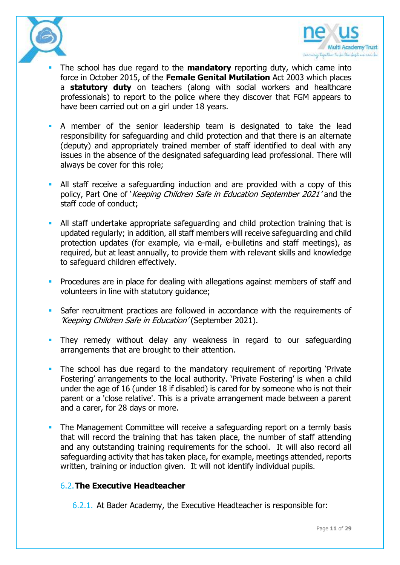



- The school has due regard to the **mandatory** reporting duty, which came into force in October 2015, of the **Female Genital Mutilation** Act 2003 which places a **statutory duty** on teachers (along with social workers and healthcare professionals) to report to the police where they discover that FGM appears to have been carried out on a girl under 18 years.
- A member of the senior leadership team is designated to take the lead responsibility for safeguarding and child protection and that there is an alternate (deputy) and appropriately trained member of staff identified to deal with any issues in the absence of the designated safeguarding lead professional. There will always be cover for this role;
- All staff receive a safeguarding induction and are provided with a copy of this policy, Part One of 'Keeping Children Safe in Education September 2021' and the staff code of conduct;
- All staff undertake appropriate safeguarding and child protection training that is updated regularly; in addition, all staff members will receive safeguarding and child protection updates (for example, via e-mail, e-bulletins and staff meetings), as required, but at least annually, to provide them with relevant skills and knowledge to safeguard children effectively.
- **Procedures are in place for dealing with allegations against members of staff and** volunteers in line with statutory guidance;
- Safer recruitment practices are followed in accordance with the requirements of 'Keeping Children Safe in Education' (September 2021).
- **They remedy without delay any weakness in regard to our safeguarding** arrangements that are brought to their attention.
- The school has due regard to the mandatory requirement of reporting 'Private Fostering' arrangements to the local authority. 'Private Fostering' is when a child under the age of 16 (under 18 if disabled) is cared for by someone who is not their parent or a 'close relative'. This is a private arrangement made between a parent and a carer, for 28 days or more.
- The Management Committee will receive a safeguarding report on a termly basis that will record the training that has taken place, the number of staff attending and any outstanding training requirements for the school. It will also record all safeguarding activity that has taken place, for example, meetings attended, reports written, training or induction given. It will not identify individual pupils.

#### 6.2.**The Executive Headteacher**

6.2.1. At Bader Academy, the Executive Headteacher is responsible for: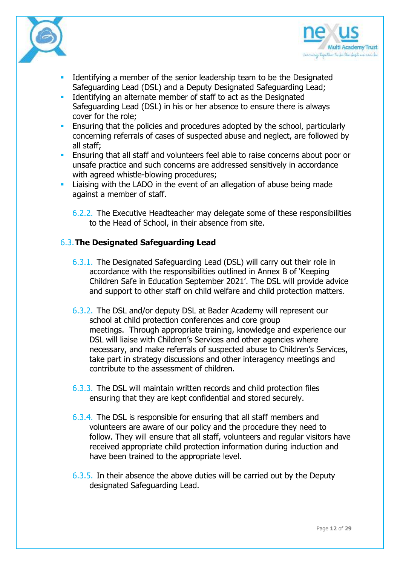



- Identifying a member of the senior leadership team to be the Designated Safeguarding Lead (DSL) and a Deputy Designated Safeguarding Lead;
- **IDENTIFY 1** Identifying an alternate member of staff to act as the Designated Safeguarding Lead (DSL) in his or her absence to ensure there is always cover for the role;
- **Ensuring that the policies and procedures adopted by the school, particularly** concerning referrals of cases of suspected abuse and neglect, are followed by all staff;
- **Ensuring that all staff and volunteers feel able to raise concerns about poor or** unsafe practice and such concerns are addressed sensitively in accordance with agreed whistle-blowing procedures;
- **Example 2** Liaising with the LADO in the event of an allegation of abuse being made against a member of staff.

6.2.2. The Executive Headteacher may delegate some of these responsibilities to the Head of School, in their absence from site.

### 6.3.**The Designated Safeguarding Lead**

- 6.3.1. The Designated Safeguarding Lead (DSL) will carry out their role in accordance with the responsibilities outlined in Annex B of 'Keeping Children Safe in Education September 2021'. The DSL will provide advice and support to other staff on child welfare and child protection matters.
- 6.3.2. The DSL and/or deputy DSL at Bader Academy will represent our school at child protection conferences and core group meetings. Through appropriate training, knowledge and experience our DSL will liaise with Children's Services and other agencies where necessary, and make referrals of suspected abuse to Children's Services, take part in strategy discussions and other interagency meetings and contribute to the assessment of children.
- 6.3.3. The DSL will maintain written records and child protection files ensuring that they are kept confidential and stored securely.
- 6.3.4. The DSL is responsible for ensuring that all staff members and volunteers are aware of our policy and the procedure they need to follow. They will ensure that all staff, volunteers and regular visitors have received appropriate child protection information during induction and have been trained to the appropriate level.
- 6.3.5. In their absence the above duties will be carried out by the Deputy designated Safeguarding Lead.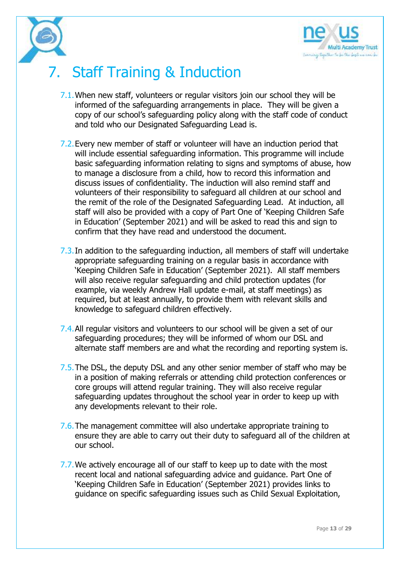

# 7. Staff Training & Induction

- 7.1.When new staff, volunteers or regular visitors join our school they will be informed of the safeguarding arrangements in place. They will be given a copy of our school's safeguarding policy along with the staff code of conduct and told who our Designated Safeguarding Lead is.
- 7.2.Every new member of staff or volunteer will have an induction period that will include essential safeguarding information. This programme will include basic safeguarding information relating to signs and symptoms of abuse, how to manage a disclosure from a child, how to record this information and discuss issues of confidentiality. The induction will also remind staff and volunteers of their responsibility to safeguard all children at our school and the remit of the role of the Designated Safeguarding Lead. At induction, all staff will also be provided with a copy of Part One of 'Keeping Children Safe in Education' (September 2021) and will be asked to read this and sign to confirm that they have read and understood the document.
- 7.3.In addition to the safeguarding induction, all members of staff will undertake appropriate safeguarding training on a regular basis in accordance with 'Keeping Children Safe in Education' (September 2021). All staff members will also receive regular safeguarding and child protection updates (for example, via weekly Andrew Hall update e-mail, at staff meetings) as required, but at least annually, to provide them with relevant skills and knowledge to safeguard children effectively.
- 7.4.All regular visitors and volunteers to our school will be given a set of our safeguarding procedures; they will be informed of whom our DSL and alternate staff members are and what the recording and reporting system is.
- 7.5. The DSL, the deputy DSL and any other senior member of staff who may be in a position of making referrals or attending child protection conferences or core groups will attend regular training. They will also receive regular safeguarding updates throughout the school year in order to keep up with any developments relevant to their role.
- 7.6.The management committee will also undertake appropriate training to ensure they are able to carry out their duty to safeguard all of the children at our school.
- 7.7. We actively encourage all of our staff to keep up to date with the most recent local and national safeguarding advice and guidance. Part One of 'Keeping Children Safe in Education' (September 2021) provides links to guidance on specific safeguarding issues such as Child Sexual Exploitation,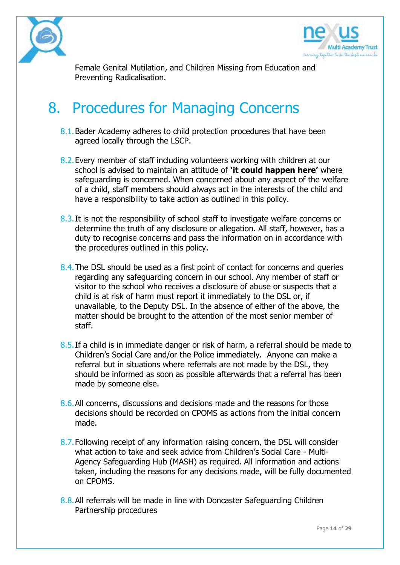



Female Genital Mutilation, and Children Missing from Education and Preventing Radicalisation.

# 8. Procedures for Managing Concerns

- 8.1. Bader Academy adheres to child protection procedures that have been agreed locally through the LSCP.
- 8.2.Every member of staff including volunteers working with children at our school is advised to maintain an attitude of **'it could happen here'** where safeguarding is concerned. When concerned about any aspect of the welfare of a child, staff members should always act in the interests of the child and have a responsibility to take action as outlined in this policy.
- 8.3.It is not the responsibility of school staff to investigate welfare concerns or determine the truth of any disclosure or allegation. All staff, however, has a duty to recognise concerns and pass the information on in accordance with the procedures outlined in this policy.
- 8.4.The DSL should be used as a first point of contact for concerns and queries regarding any safeguarding concern in our school. Any member of staff or visitor to the school who receives a disclosure of abuse or suspects that a child is at risk of harm must report it immediately to the DSL or, if unavailable, to the Deputy DSL. In the absence of either of the above, the matter should be brought to the attention of the most senior member of staff.
- 8.5.If a child is in immediate danger or risk of harm, a referral should be made to Children's Social Care and/or the Police immediately. Anyone can make a referral but in situations where referrals are not made by the DSL, they should be informed as soon as possible afterwards that a referral has been made by someone else.
- 8.6. All concerns, discussions and decisions made and the reasons for those decisions should be recorded on CPOMS as actions from the initial concern made.
- 8.7.Following receipt of any information raising concern, the DSL will consider what action to take and seek advice from Children's Social Care - Multi-Agency Safeguarding Hub (MASH) as required. All information and actions taken, including the reasons for any decisions made, will be fully documented on CPOMS.
- 8.8.All referrals will be made in line with Doncaster Safeguarding Children Partnership procedures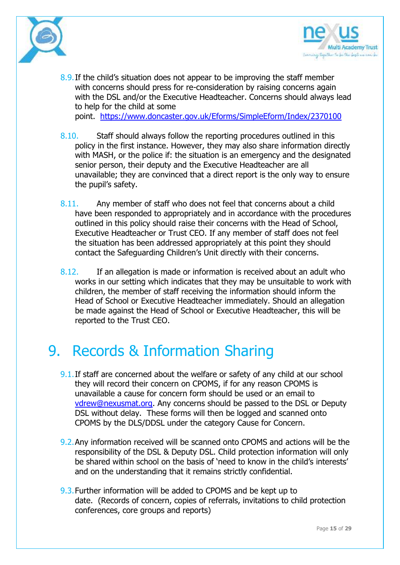



- 8.9. If the child's situation does not appear to be improving the staff member with concerns should press for re-consideration by raising concerns again with the DSL and/or the Executive Headteacher. Concerns should always lead to help for the child at some point. <https://www.doncaster.gov.uk/Eforms/SimpleEform/Index/2370100>
- 8.10. Staff should always follow the reporting procedures outlined in this policy in the first instance. However, they may also share information directly with MASH, or the police if: the situation is an emergency and the designated senior person, their deputy and the Executive Headteacher are all unavailable; they are convinced that a direct report is the only way to ensure the pupil's safety.
- 8.11. Any member of staff who does not feel that concerns about a child have been responded to appropriately and in accordance with the procedures outlined in this policy should raise their concerns with the Head of School, Executive Headteacher or Trust CEO. If any member of staff does not feel the situation has been addressed appropriately at this point they should contact the Safeguarding Children's Unit directly with their concerns.
- 8.12. If an allegation is made or information is received about an adult who works in our setting which indicates that they may be unsuitable to work with children, the member of staff receiving the information should inform the Head of School or Executive Headteacher immediately. Should an allegation be made against the Head of School or Executive Headteacher, this will be reported to the Trust CEO.

# 9. Records & Information Sharing

- **9.1.** If staff are concerned about the welfare or safety of any child at our school they will record their concern on CPOMS, if for any reason CPOMS is unavailable a cause for concern form should be used or an email to [vdrew@nexusmat.org.](mailto:vdrew@nexusmat.org) Any concerns should be passed to the DSL or Deputy DSL without delay. These forms will then be logged and scanned onto CPOMS by the DLS/DDSL under the category Cause for Concern.
- 9.2.Any information received will be scanned onto CPOMS and actions will be the responsibility of the DSL & Deputy DSL. Child protection information will only be shared within school on the basis of 'need to know in the child's interests' and on the understanding that it remains strictly confidential.
- 9.3.Further information will be added to CPOMS and be kept up to date. (Records of concern, copies of referrals, invitations to child protection conferences, core groups and reports)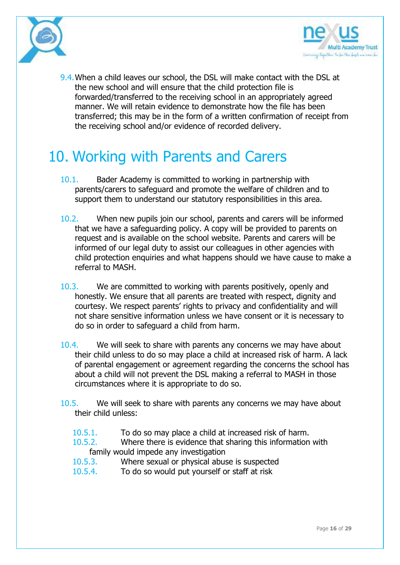



9.4. When a child leaves our school, the DSL will make contact with the DSL at the new school and will ensure that the child protection file is forwarded/transferred to the receiving school in an appropriately agreed manner. We will retain evidence to demonstrate how the file has been transferred; this may be in the form of a written confirmation of receipt from the receiving school and/or evidence of recorded delivery.

# 10. Working with Parents and Carers

- 10.1. Bader Academy is committed to working in partnership with parents/carers to safeguard and promote the welfare of children and to support them to understand our statutory responsibilities in this area.
- 10.2. When new pupils join our school, parents and carers will be informed that we have a safeguarding policy. A copy will be provided to parents on request and is available on the school website. Parents and carers will be informed of our legal duty to assist our colleagues in other agencies with child protection enquiries and what happens should we have cause to make a referral to MASH.
- 10.3. We are committed to working with parents positively, openly and honestly. We ensure that all parents are treated with respect, dignity and courtesy. We respect parents' rights to privacy and confidentiality and will not share sensitive information unless we have consent or it is necessary to do so in order to safeguard a child from harm.
- 10.4. We will seek to share with parents any concerns we may have about their child unless to do so may place a child at increased risk of harm. A lack of parental engagement or agreement regarding the concerns the school has about a child will not prevent the DSL making a referral to MASH in those circumstances where it is appropriate to do so.
- 10.5. We will seek to share with parents any concerns we may have about their child unless:
	- 10.5.1. To do so may place a child at increased risk of harm.
	- 10.5.2. Where there is evidence that sharing this information with family would impede any investigation
	- 10.5.3. Where sexual or physical abuse is suspected
	- 10.5.4. To do so would put yourself or staff at risk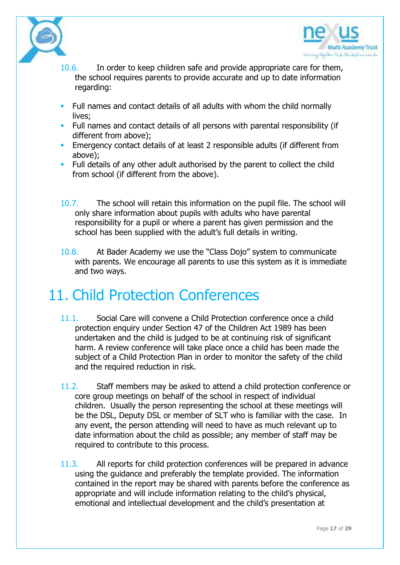



- 10.6. In order to keep children safe and provide appropriate care for them, the school requires parents to provide accurate and up to date information regarding:
- Full names and contact details of all adults with whom the child normally lives;
- **Full names and contact details of all persons with parental responsibility (if** different from above);
- **Emergency contact details of at least 2 responsible adults (if different from** above);
- Full details of any other adult authorised by the parent to collect the child from school (if different from the above).
- 10.7. The school will retain this information on the pupil file. The school will only share information about pupils with adults who have parental responsibility for a pupil or where a parent has given permission and the school has been supplied with the adult's full details in writing.
- 10.8. At Bader Academy we use the "Class Dojo" system to communicate with parents. We encourage all parents to use this system as it is immediate and two ways.

# 11. Child Protection Conferences

- 11.1. Social Care will convene a Child Protection conference once a child protection enquiry under Section 47 of the Children Act 1989 has been undertaken and the child is judged to be at continuing risk of significant harm. A review conference will take place once a child has been made the subject of a Child Protection Plan in order to monitor the safety of the child and the required reduction in risk.
- 11.2. Staff members may be asked to attend a child protection conference or core group meetings on behalf of the school in respect of individual children. Usually the person representing the school at these meetings will be the DSL, Deputy DSL or member of SLT who is familiar with the case. In any event, the person attending will need to have as much relevant up to date information about the child as possible; any member of staff may be required to contribute to this process.
- 11.3. All reports for child protection conferences will be prepared in advance using the guidance and preferably the template provided. The information contained in the report may be shared with parents before the conference as appropriate and will include information relating to the child's physical, emotional and intellectual development and the child's presentation at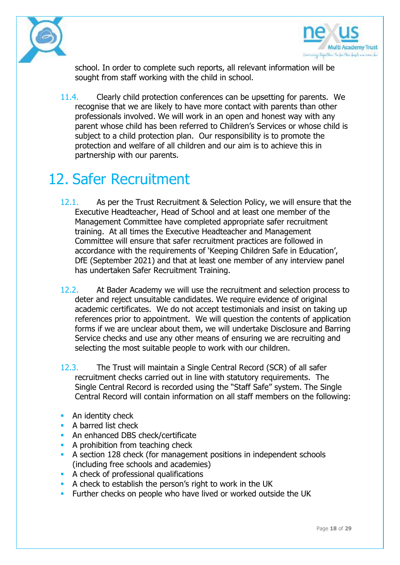



school. In order to complete such reports, all relevant information will be sought from staff working with the child in school.

11.4. Clearly child protection conferences can be upsetting for parents. We recognise that we are likely to have more contact with parents than other professionals involved. We will work in an open and honest way with any parent whose child has been referred to Children's Services or whose child is subject to a child protection plan. Our responsibility is to promote the protection and welfare of all children and our aim is to achieve this in partnership with our parents.

# 12. Safer Recruitment

- 12.1. As per the Trust Recruitment & Selection Policy, we will ensure that the Executive Headteacher, Head of School and at least one member of the Management Committee have completed appropriate safer recruitment training. At all times the Executive Headteacher and Management Committee will ensure that safer recruitment practices are followed in accordance with the requirements of 'Keeping Children Safe in Education', DfE (September 2021) and that at least one member of any interview panel has undertaken Safer Recruitment Training.
- 12.2. At Bader Academy we will use the recruitment and selection process to deter and reject unsuitable candidates. We require evidence of original academic certificates. We do not accept testimonials and insist on taking up references prior to appointment. We will question the contents of application forms if we are unclear about them, we will undertake Disclosure and Barring Service checks and use any other means of ensuring we are recruiting and selecting the most suitable people to work with our children.
- 12.3. The Trust will maintain a Single Central Record (SCR) of all safer recruitment checks carried out in line with statutory requirements. The Single Central Record is recorded using the "Staff Safe" system. The Single Central Record will contain information on all staff members on the following:
- **An identity check**
- **A** barred list check
- An enhanced DBS check/certificate
- **A prohibition from teaching check**
- A section 128 check (for management positions in independent schools (including free schools and academies)
- A check of professional qualifications
- A check to establish the person's right to work in the UK
- Further checks on people who have lived or worked outside the UK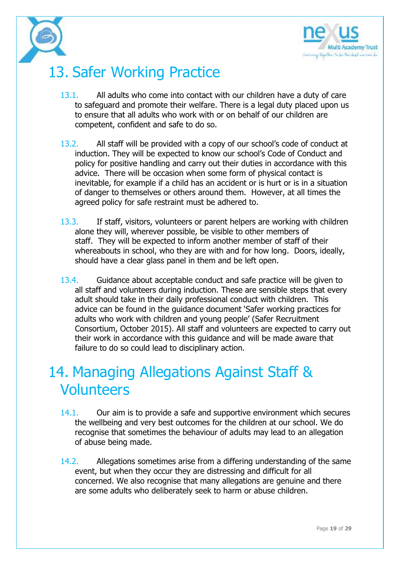

# 13. Safer Working Practice

- 13.1. All adults who come into contact with our children have a duty of care to safeguard and promote their welfare. There is a legal duty placed upon us to ensure that all adults who work with or on behalf of our children are competent, confident and safe to do so.
- 13.2. All staff will be provided with a copy of our school's code of conduct at induction. They will be expected to know our school's Code of Conduct and policy for positive handling and carry out their duties in accordance with this advice. There will be occasion when some form of physical contact is inevitable, for example if a child has an accident or is hurt or is in a situation of danger to themselves or others around them. However, at all times the agreed policy for safe restraint must be adhered to.
- 13.3. If staff, visitors, volunteers or parent helpers are working with children alone they will, wherever possible, be visible to other members of staff. They will be expected to inform another member of staff of their whereabouts in school, who they are with and for how long. Doors, ideally, should have a clear glass panel in them and be left open.
- 13.4. Guidance about acceptable conduct and safe practice will be given to all staff and volunteers during induction. These are sensible steps that every adult should take in their daily professional conduct with children. This advice can be found in the guidance document 'Safer working practices for adults who work with children and young people' (Safer Recruitment Consortium, October 2015). All staff and volunteers are expected to carry out their work in accordance with this guidance and will be made aware that failure to do so could lead to disciplinary action.

# 14. Managing Allegations Against Staff & Volunteers

- 14.1. Our aim is to provide a safe and supportive environment which secures the wellbeing and very best outcomes for the children at our school. We do recognise that sometimes the behaviour of adults may lead to an allegation of abuse being made.
- 14.2. Allegations sometimes arise from a differing understanding of the same event, but when they occur they are distressing and difficult for all concerned. We also recognise that many allegations are genuine and there are some adults who deliberately seek to harm or abuse children.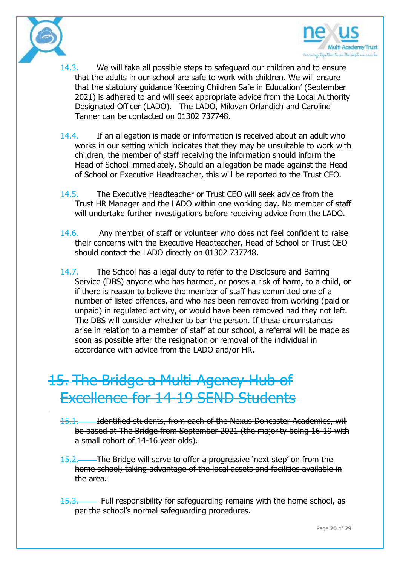



- 14.3. We will take all possible steps to safeguard our children and to ensure that the adults in our school are safe to work with children. We will ensure that the statutory guidance 'Keeping Children Safe in Education' (September 2021) is adhered to and will seek appropriate advice from the Local Authority Designated Officer (LADO). The LADO, Milovan Orlandich and Caroline Tanner can be contacted on 01302 737748.
- 14.4. If an allegation is made or information is received about an adult who works in our setting which indicates that they may be unsuitable to work with children, the member of staff receiving the information should inform the Head of School immediately. Should an allegation be made against the Head of School or Executive Headteacher, this will be reported to the Trust CEO.
- 14.5. The Executive Headteacher or Trust CEO will seek advice from the Trust HR Manager and the LADO within one working day. No member of staff will undertake further investigations before receiving advice from the LADO.
- 14.6. Any member of staff or volunteer who does not feel confident to raise their concerns with the Executive Headteacher, Head of School or Trust CEO should contact the LADO directly on 01302 737748.
- 14.7. The School has a legal duty to refer to the Disclosure and Barring Service (DBS) anyone who has harmed, or poses a risk of harm, to a child, or if there is reason to believe the member of staff has committed one of a number of listed offences, and who has been removed from working (paid or unpaid) in regulated activity, or would have been removed had they not left. The DBS will consider whether to bar the person. If these circumstances arise in relation to a member of staff at our school, a referral will be made as soon as possible after the resignation or removal of the individual in accordance with advice from the LADO and/or HR.

# 15. The Bridge a Multi-Agency Hub of Excellence for 14-19 SEND Students

- 15.1. Identified students, from each of the Nexus Doncaster Academies, will be based at The Bridge from September 2021 (the majority being 16-19 with a small cohort of 14-16 year olds).
- 15.2. The Bridge will serve to offer a progressive 'next step' on from the home school; taking advantage of the local assets and facilities available in the area.
- 15.3. Full responsibility for safeguarding remains with the home school, as per the school's normal safeguarding procedures.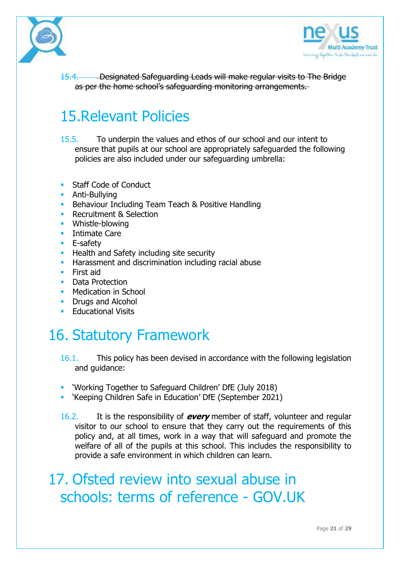



15.4. Designated Safeguarding Leads will make regular visits to The Bridge as per the home school's safeguarding monitoring arrangements.

# 15.Relevant Policies

15.5. To underpin the values and ethos of our school and our intent to ensure that pupils at our school are appropriately safeguarded the following policies are also included under our safeguarding umbrella:

- Staff Code of Conduct
- **-** Anti-Bullving
- **Behaviour Including Team Teach & Positive Handling**
- **Recruitment & Selection**
- **•** Whistle-blowing
- **Intimate Care**
- **E**-safety
- **Health and Safety including site security**
- **Harassment and discrimination including racial abuse**
- **First aid**
- **•** Data Protection
- **Medication in School**
- **Drugs and Alcohol**
- Educational Visits

# 16. Statutory Framework

- 16.1. This policy has been devised in accordance with the following legislation and guidance:
- 'Working Together to Safeguard Children' DfE (July 2018)
- 'Keeping Children Safe in Education' DfE (September 2021)
- 16.2. It is the responsibility of **every** member of staff, volunteer and regular visitor to our school to ensure that they carry out the requirements of this policy and, at all times, work in a way that will safeguard and promote the welfare of all of the pupils at this school. This includes the responsibility to provide a safe environment in which children can learn.

17. Ofsted review into sexual abuse in schools: terms of reference - GOV.UK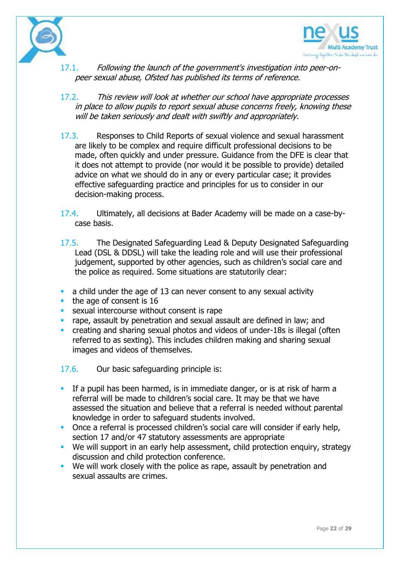



- 17.1. Following the launch of the government's investigation into peer-onpeer sexual abuse, Ofsted has published its terms of reference.
- 17.2. This review will look at whether our school have appropriate processes in place to allow pupils to report sexual abuse concerns freely, knowing these will be taken seriously and dealt with swiftly and appropriately.
- 17.3. Responses to Child Reports of sexual violence and sexual harassment are likely to be complex and require difficult professional decisions to be made, often quickly and under pressure. Guidance from the DFE is clear that it does not attempt to provide (nor would it be possible to provide) detailed advice on what we should do in any or every particular case; it provides effective safeguarding practice and principles for us to consider in our decision-making process.
- 17.4. Ultimately, all decisions at Bader Academy will be made on a case-bycase basis.
- 17.5. The Designated Safeguarding Lead & Deputy Designated Safeguarding Lead (DSL & DDSL) will take the leading role and will use their professional judgement, supported by other agencies, such as children's social care and the police as required. Some situations are statutorily clear:
- $\blacksquare$  a child under the age of 13 can never consent to any sexual activity
- $\blacksquare$  the age of consent is 16
- **sexual intercourse without consent is rape**
- **rape, assault by penetration and sexual assault are defined in law; and**
- creating and sharing sexual photos and videos of under-18s is illegal (often referred to as sexting). This includes children making and sharing sexual images and videos of themselves.

17.6. Our basic safeguarding principle is:

- If a pupil has been harmed, is in immediate danger, or is at risk of harm a referral will be made to children's social care. It may be that we have assessed the situation and believe that a referral is needed without parental knowledge in order to safeguard students involved.
- Once a referral is processed children's social care will consider if early help, section 17 and/or 47 statutory assessments are appropriate
- We will support in an early help assessment, child protection enquiry, strategy discussion and child protection conference.
- We will work closely with the police as rape, assault by penetration and sexual assaults are crimes.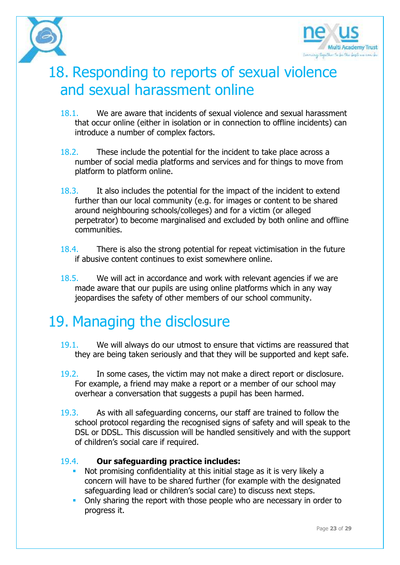



# 18. Responding to reports of sexual violence and sexual harassment online

- 18.1. We are aware that incidents of sexual violence and sexual harassment that occur online (either in isolation or in connection to offline incidents) can introduce a number of complex factors.
- 18.2. These include the potential for the incident to take place across a number of social media platforms and services and for things to move from platform to platform online.
- 18.3. It also includes the potential for the impact of the incident to extend further than our local community (e.g. for images or content to be shared around neighbouring schools/colleges) and for a victim (or alleged perpetrator) to become marginalised and excluded by both online and offline communities.
- 18.4. There is also the strong potential for repeat victimisation in the future if abusive content continues to exist somewhere online.
- 18.5. We will act in accordance and work with relevant agencies if we are made aware that our pupils are using online platforms which in any way jeopardises the safety of other members of our school community.

# 19. Managing the disclosure

- 19.1. We will always do our utmost to ensure that victims are reassured that they are being taken seriously and that they will be supported and kept safe.
- 19.2. In some cases, the victim may not make a direct report or disclosure. For example, a friend may make a report or a member of our school may overhear a conversation that suggests a pupil has been harmed.
- 19.3. As with all safeguarding concerns, our staff are trained to follow the school protocol regarding the recognised signs of safety and will speak to the DSL or DDSL. This discussion will be handled sensitively and with the support of children's social care if required.

## 19.4. **Our safeguarding practice includes:**

- Not promising confidentiality at this initial stage as it is very likely a concern will have to be shared further (for example with the designated safeguarding lead or children's social care) to discuss next steps.
- Only sharing the report with those people who are necessary in order to progress it.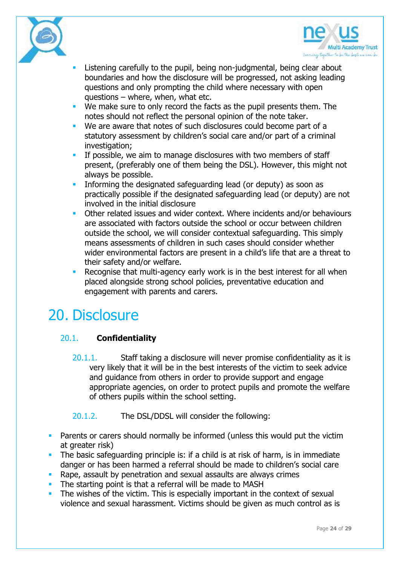



- Listening carefully to the pupil, being non-judgmental, being clear about boundaries and how the disclosure will be progressed, not asking leading questions and only prompting the child where necessary with open questions – where, when, what etc.
- We make sure to only record the facts as the pupil presents them. The notes should not reflect the personal opinion of the note taker.
- **We are aware that notes of such disclosures could become part of a** statutory assessment by children's social care and/or part of a criminal investigation:
- **If possible, we aim to manage disclosures with two members of staff** present, (preferably one of them being the DSL). However, this might not always be possible.
- Informing the designated safeguarding lead (or deputy) as soon as practically possible if the designated safeguarding lead (or deputy) are not involved in the initial disclosure
- Other related issues and wider context. Where incidents and/or behaviours are associated with factors outside the school or occur between children outside the school, we will consider contextual safeguarding. This simply means assessments of children in such cases should consider whether wider environmental factors are present in a child's life that are a threat to their safety and/or welfare.
- Recognise that multi-agency early work is in the best interest for all when placed alongside strong school policies, preventative education and engagement with parents and carers.

## 20. Disclosure

## 20.1. **Confidentiality**

- 20.1.1. Staff taking a disclosure will never promise confidentiality as it is very likely that it will be in the best interests of the victim to seek advice and guidance from others in order to provide support and engage appropriate agencies, on order to protect pupils and promote the welfare of others pupils within the school setting.
- 20.1.2. The DSL/DDSL will consider the following:
- Parents or carers should normally be informed (unless this would put the victim at greater risk)
- The basic safeguarding principle is: if a child is at risk of harm, is in immediate danger or has been harmed a referral should be made to children's social care
- **Rape, assault by penetration and sexual assaults are always crimes**
- The starting point is that a referral will be made to MASH
- The wishes of the victim. This is especially important in the context of sexual violence and sexual harassment. Victims should be given as much control as is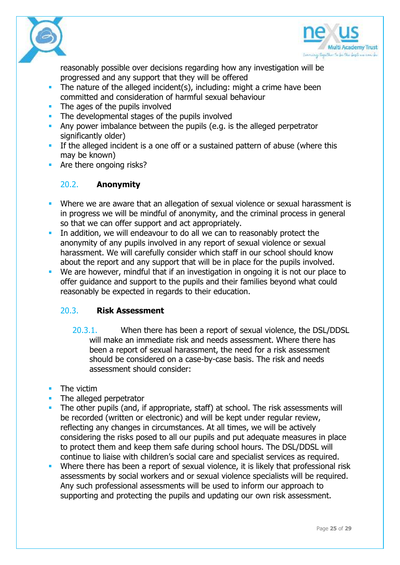



reasonably possible over decisions regarding how any investigation will be progressed and any support that they will be offered

- The nature of the alleged incident(s), including: might a crime have been committed and consideration of harmful sexual behaviour
- The ages of the pupils involved
- The developmental stages of the pupils involved
- Any power imbalance between the pupils (e.g. is the alleged perpetrator significantly older)
- If the alleged incident is a one off or a sustained pattern of abuse (where this may be known)
- **Are there ongoing risks?**

## 20.2. **Anonymity**

- **Where we are aware that an allegation of sexual violence or sexual harassment is** in progress we will be mindful of anonymity, and the criminal process in general so that we can offer support and act appropriately.
- In addition, we will endeavour to do all we can to reasonably protect the anonymity of any pupils involved in any report of sexual violence or sexual harassment. We will carefully consider which staff in our school should know about the report and any support that will be in place for the pupils involved.
- We are however, mindful that if an investigation in ongoing it is not our place to offer guidance and support to the pupils and their families beyond what could reasonably be expected in regards to their education.

## 20.3. **Risk Assessment**

- 20.3.1. When there has been a report of sexual violence, the DSL/DDSL will make an immediate risk and needs assessment. Where there has been a report of sexual harassment, the need for a risk assessment should be considered on a case-by-case basis. The risk and needs assessment should consider:
- The victim
- The alleged perpetrator
- The other pupils (and, if appropriate, staff) at school. The risk assessments will be recorded (written or electronic) and will be kept under regular review, reflecting any changes in circumstances. At all times, we will be actively considering the risks posed to all our pupils and put adequate measures in place to protect them and keep them safe during school hours. The DSL/DDSL will continue to liaise with children's social care and specialist services as required.
- **Where there has been a report of sexual violence, it is likely that professional risk** assessments by social workers and or sexual violence specialists will be required. Any such professional assessments will be used to inform our approach to supporting and protecting the pupils and updating our own risk assessment.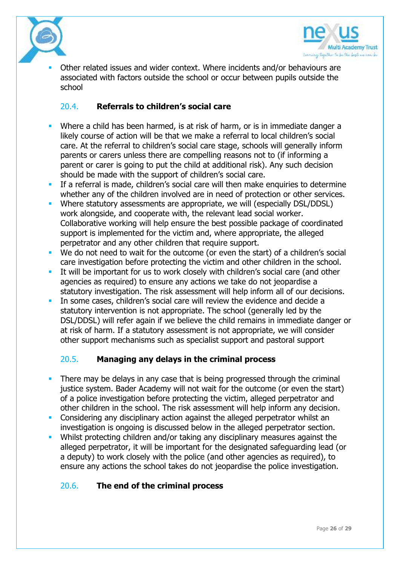



 Other related issues and wider context. Where incidents and/or behaviours are associated with factors outside the school or occur between pupils outside the school

### 20.4. **Referrals to children's social care**

- Where a child has been harmed, is at risk of harm, or is in immediate danger a likely course of action will be that we make a referral to local children's social care. At the referral to children's social care stage, schools will generally inform parents or carers unless there are compelling reasons not to (if informing a parent or carer is going to put the child at additional risk). Any such decision should be made with the support of children's social care.
- **If a referral is made, children's social care will then make enquiries to determine** whether any of the children involved are in need of protection or other services.
- **Where statutory assessments are appropriate, we will (especially DSL/DDSL)** work alongside, and cooperate with, the relevant lead social worker. Collaborative working will help ensure the best possible package of coordinated support is implemented for the victim and, where appropriate, the alleged perpetrator and any other children that require support.
- We do not need to wait for the outcome (or even the start) of a children's social care investigation before protecting the victim and other children in the school.
- It will be important for us to work closely with children's social care (and other agencies as required) to ensure any actions we take do not jeopardise a statutory investigation. The risk assessment will help inform all of our decisions.
- In some cases, children's social care will review the evidence and decide a statutory intervention is not appropriate. The school (generally led by the DSL/DDSL) will refer again if we believe the child remains in immediate danger or at risk of harm. If a statutory assessment is not appropriate, we will consider other support mechanisms such as specialist support and pastoral support

## 20.5. **Managing any delays in the criminal process**

- There may be delays in any case that is being progressed through the criminal justice system. Bader Academy will not wait for the outcome (or even the start) of a police investigation before protecting the victim, alleged perpetrator and other children in the school. The risk assessment will help inform any decision.
- **Considering any disciplinary action against the alleged perpetrator whilst an** investigation is ongoing is discussed below in the alleged perpetrator section.
- Whilst protecting children and/or taking any disciplinary measures against the alleged perpetrator, it will be important for the designated safeguarding lead (or a deputy) to work closely with the police (and other agencies as required), to ensure any actions the school takes do not jeopardise the police investigation.

#### 20.6. **The end of the criminal process**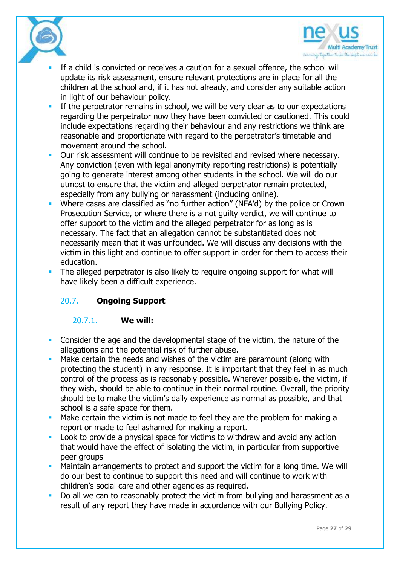



- If a child is convicted or receives a caution for a sexual offence, the school will update its risk assessment, ensure relevant protections are in place for all the children at the school and, if it has not already, and consider any suitable action in light of our behaviour policy.
- If the perpetrator remains in school, we will be very clear as to our expectations regarding the perpetrator now they have been convicted or cautioned. This could include expectations regarding their behaviour and any restrictions we think are reasonable and proportionate with regard to the perpetrator's timetable and movement around the school.
- **Dur risk assessment will continue to be revisited and revised where necessary.** Any conviction (even with legal anonymity reporting restrictions) is potentially going to generate interest among other students in the school. We will do our utmost to ensure that the victim and alleged perpetrator remain protected, especially from any bullying or harassment (including online).
- Where cases are classified as "no further action" (NFA'd) by the police or Crown Prosecution Service, or where there is a not guilty verdict, we will continue to offer support to the victim and the alleged perpetrator for as long as is necessary. The fact that an allegation cannot be substantiated does not necessarily mean that it was unfounded. We will discuss any decisions with the victim in this light and continue to offer support in order for them to access their education.
- The alleged perpetrator is also likely to require ongoing support for what will have likely been a difficult experience.

## 20.7. **Ongoing Support**

#### 20.7.1. **We will:**

- Consider the age and the developmental stage of the victim, the nature of the allegations and the potential risk of further abuse.
- Make certain the needs and wishes of the victim are paramount (along with protecting the student) in any response. It is important that they feel in as much control of the process as is reasonably possible. Wherever possible, the victim, if they wish, should be able to continue in their normal routine. Overall, the priority should be to make the victim's daily experience as normal as possible, and that school is a safe space for them.
- **Make certain the victim is not made to feel they are the problem for making a** report or made to feel ashamed for making a report.
- **Look to provide a physical space for victims to withdraw and avoid any action** that would have the effect of isolating the victim, in particular from supportive peer groups
- Maintain arrangements to protect and support the victim for a long time. We will do our best to continue to support this need and will continue to work with children's social care and other agencies as required.
- Do all we can to reasonably protect the victim from bullying and harassment as a result of any report they have made in accordance with our Bullying Policy.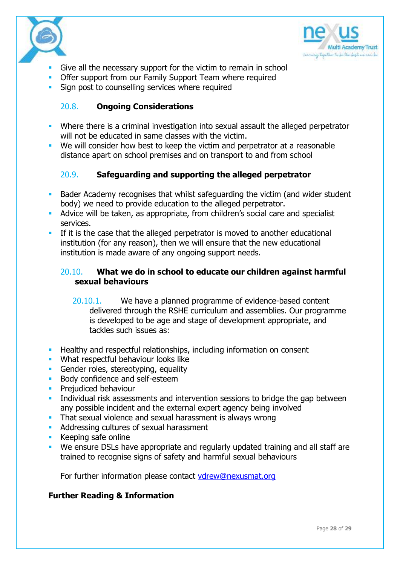



- Give all the necessary support for the victim to remain in school
- **Offer support from our Family Support Team where required**
- **Sign post to counselling services where required**

#### 20.8. **Ongoing Considerations**

- Where there is a criminal investigation into sexual assault the alleged perpetrator will not be educated in same classes with the victim.
- We will consider how best to keep the victim and perpetrator at a reasonable distance apart on school premises and on transport to and from school

## 20.9. **Safeguarding and supporting the alleged perpetrator**

- Bader Academy recognises that whilst safeguarding the victim (and wider student body) we need to provide education to the alleged perpetrator.
- Advice will be taken, as appropriate, from children's social care and specialist services.
- If it is the case that the alleged perpetrator is moved to another educational institution (for any reason), then we will ensure that the new educational institution is made aware of any ongoing support needs.

### 20.10. **What we do in school to educate our children against harmful sexual behaviours**

- 20.10.1. We have a planned programme of evidence-based content delivered through the RSHE curriculum and assemblies. Our programme is developed to be age and stage of development appropriate, and tackles such issues as:
- **Healthy and respectful relationships, including information on consent**
- **What respectful behaviour looks like**
- Gender roles, stereotyping, equality
- **Body confidence and self-esteem**
- **Prejudiced behaviour**
- **Individual risk assessments and intervention sessions to bridge the gap between** any possible incident and the external expert agency being involved
- **That sexual violence and sexual harassment is always wrong**
- **Addressing cultures of sexual harassment**
- **Keeping safe online**
- We ensure DSLs have appropriate and regularly updated training and all staff are trained to recognise signs of safety and harmful sexual behaviours

For further information please contact [vdrew@nexusmat.org](mailto:bcoy@nexusmat.org)

#### **Further Reading & Information**